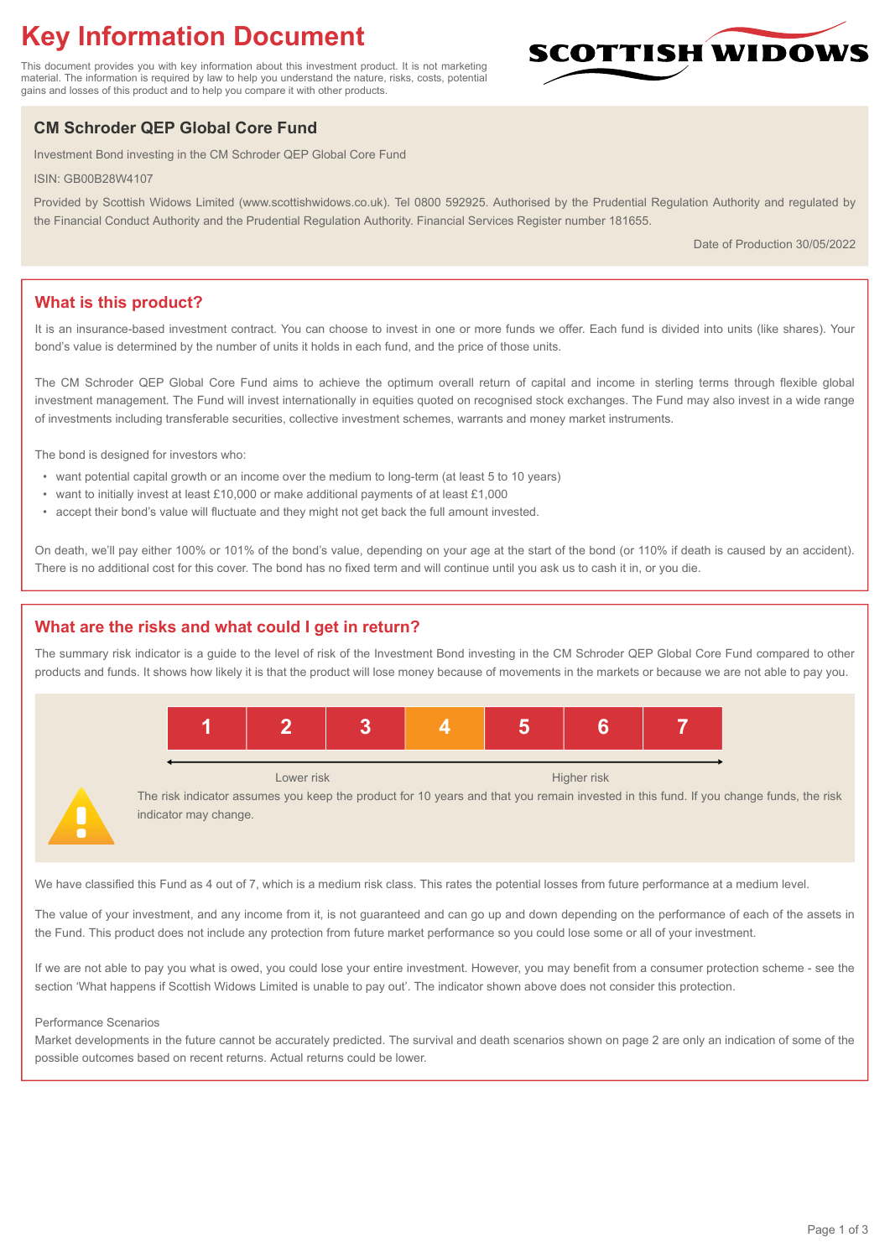# **Key Information Document**

This document provides you with key information about this investment product. It is not marketing material. The information is required by law to help you understand the nature, risks, costs, potential gains and losses of this product and to help you compare it with other products.

## **CM Schroder QEP Global Core Fund**

Investment Bond investing in the CM Schroder QEP Global Core Fund

ISIN: GB00B28W4107

Provided by Scottish Widows Limited (www.scottishwidows.co.uk). Tel 0800 592925. Authorised by the Prudential Regulation Authority and regulated by the Financial Conduct Authority and the Prudential Regulation Authority. Financial Services Register number 181655.

Date of Production 30/05/2022

**SCOTTISH WIDOW** 

## **What is this product?**

It is an insurance-based investment contract. You can choose to invest in one or more funds we offer. Each fund is divided into units (like shares). Your bond's value is determined by the number of units it holds in each fund, and the price of those units.

The CM Schroder QEP Global Core Fund aims to achieve the optimum overall return of capital and income in sterling terms through flexible global investment management. The Fund will invest internationally in equities quoted on recognised stock exchanges. The Fund may also invest in a wide range of investments including transferable securities, collective investment schemes, warrants and money market instruments.

The bond is designed for investors who:

- want potential capital growth or an income over the medium to long-term (at least 5 to 10 years)
- want to initially invest at least £10,000 or make additional payments of at least £1,000
- accept their bond's value will fluctuate and they might not get back the full amount invested.

On death, we'll pay either 100% or 101% of the bond's value, depending on your age at the start of the bond (or 110% if death is caused by an accident). There is no additional cost for this cover. The bond has no fixed term and will continue until you ask us to cash it in, or you die.

## **What are the risks and what could I get in return?**

The summary risk indicator is a guide to the level of risk of the Investment Bond investing in the CM Schroder QEP Global Core Fund compared to other products and funds. It shows how likely it is that the product will lose money because of movements in the markets or because we are not able to pay you.



The risk indicator assumes you keep the product for 10 years and that you remain invested in this fund. If you change funds, the risk indicator may change.

We have classified this Fund as 4 out of 7, which is a medium risk class. This rates the potential losses from future performance at a medium level.

The value of your investment, and any income from it, is not guaranteed and can go up and down depending on the performance of each of the assets in the Fund. This product does not include any protection from future market performance so you could lose some or all of your investment.

If we are not able to pay you what is owed, you could lose your entire investment. However, you may benefit from a consumer protection scheme - see the section 'What happens if Scottish Widows Limited is unable to pay out'. The indicator shown above does not consider this protection.

#### Performance Scenarios

Market developments in the future cannot be accurately predicted. The survival and death scenarios shown on page 2 are only an indication of some of the possible outcomes based on recent returns. Actual returns could be lower.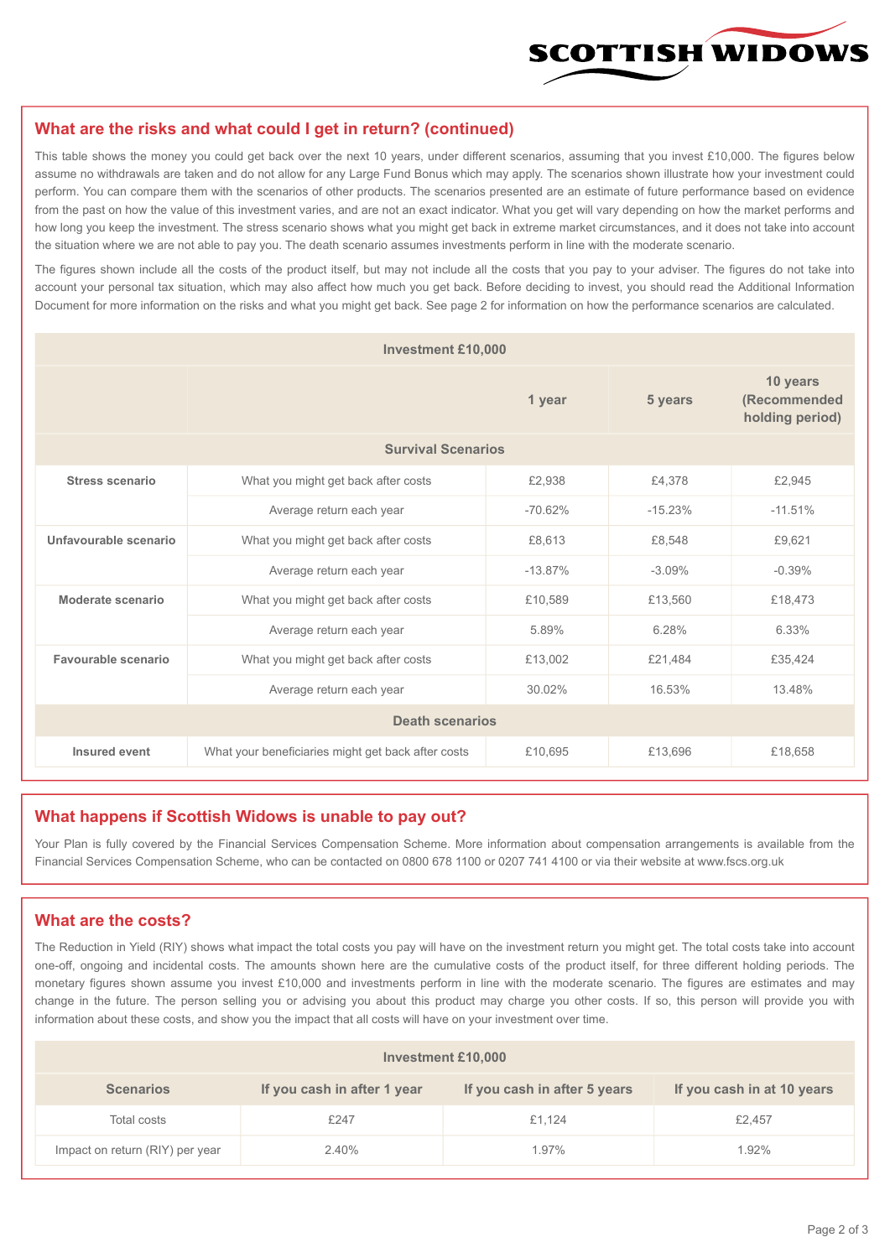

#### **What are the risks and what could I get in return? (continued)**

This table shows the money you could get back over the next 10 years, under different scenarios, assuming that you invest £10,000. The figures below assume no withdrawals are taken and do not allow for any Large Fund Bonus which may apply. The scenarios shown illustrate how your investment could perform. You can compare them with the scenarios of other products. The scenarios presented are an estimate of future performance based on evidence from the past on how the value of this investment varies, and are not an exact indicator. What you get will vary depending on how the market performs and how long you keep the investment. The stress scenario shows what you might get back in extreme market circumstances, and it does not take into account the situation where we are not able to pay you. The death scenario assumes investments perform in line with the moderate scenario.

The figures shown include all the costs of the product itself, but may not include all the costs that you pay to your adviser. The figures do not take into account your personal tax situation, which may also affect how much you get back. Before deciding to invest, you should read the Additional Information Document for more information on the risks and what you might get back. See page 2 for information on how the performance scenarios are calculated.

| <b>Investment £10,000</b> |                                                    |           |                                             |           |  |  |
|---------------------------|----------------------------------------------------|-----------|---------------------------------------------|-----------|--|--|
|                           |                                                    | 5 years   | 10 years<br>(Recommended<br>holding period) |           |  |  |
| <b>Survival Scenarios</b> |                                                    |           |                                             |           |  |  |
| <b>Stress scenario</b>    | £2,938<br>What you might get back after costs      |           | £4,378                                      | £2,945    |  |  |
|                           | $-70.62%$<br>Average return each year              |           | $-15.23%$                                   | $-11.51%$ |  |  |
| Unfavourable scenario     | What you might get back after costs<br>£8,613      |           | £8,548                                      | £9,621    |  |  |
|                           | Average return each year                           | $-13.87%$ | $-3.09%$                                    | $-0.39%$  |  |  |
| Moderate scenario         | What you might get back after costs                | £10,589   | £13,560                                     | £18,473   |  |  |
|                           | Average return each year                           | 5.89%     | 6.28%                                       | 6.33%     |  |  |
| Favourable scenario       | What you might get back after costs                | £13,002   | £21,484                                     | £35,424   |  |  |
| Average return each year  |                                                    | 30.02%    | 16.53%                                      | 13.48%    |  |  |
| <b>Death scenarios</b>    |                                                    |           |                                             |           |  |  |
| Insured event             | What your beneficiaries might get back after costs | £10,695   | £13,696                                     | £18,658   |  |  |

#### **What happens if Scottish Widows is unable to pay out?**

Your Plan is fully covered by the Financial Services Compensation Scheme. More information about compensation arrangements is available from the Financial Services Compensation Scheme, who can be contacted on 0800 678 1100 or 0207 741 4100 or via their website at www.fscs.org.uk

#### **What are the costs?**

The Reduction in Yield (RIY) shows what impact the total costs you pay will have on the investment return you might get. The total costs take into account one-off, ongoing and incidental costs. The amounts shown here are the cumulative costs of the product itself, for three different holding periods. The monetary figures shown assume you invest £10,000 and investments perform in line with the moderate scenario. The figures are estimates and may change in the future. The person selling you or advising you about this product may charge you other costs. If so, this person will provide you with information about these costs, and show you the impact that all costs will have on your investment over time.

| <b>Investment £10,000</b>       |                             |                              |                            |  |  |  |
|---------------------------------|-----------------------------|------------------------------|----------------------------|--|--|--|
| <b>Scenarios</b>                | If you cash in after 1 year | If you cash in after 5 years | If you cash in at 10 years |  |  |  |
| Total costs                     | £247                        | £1.124                       | £2,457                     |  |  |  |
| Impact on return (RIY) per year | 2.40%                       | 1.97%                        | 1.92%                      |  |  |  |